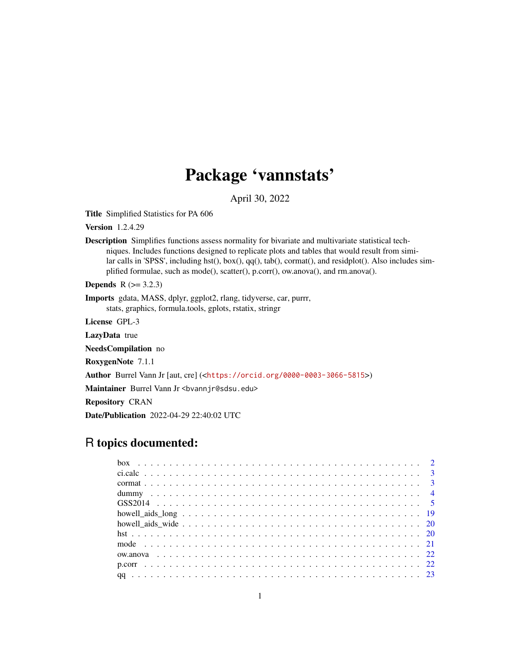## Package 'vannstats'

April 30, 2022

Title Simplified Statistics for PA 606

Version 1.2.4.29

Description Simplifies functions assess normality for bivariate and multivariate statistical techniques. Includes functions designed to replicate plots and tables that would result from similar calls in 'SPSS', including hst(), box(), qq(), tab(), cormat(), and residplot(). Also includes simplified formulae, such as mode(), scatter(), p.corr(), ow.anova(), and rm.anova().

**Depends**  $R$  ( $>= 3.2.3$ )

Imports gdata, MASS, dplyr, ggplot2, rlang, tidyverse, car, purrr, stats, graphics, formula.tools, gplots, rstatix, stringr

License GPL-3

LazyData true

NeedsCompilation no

RoxygenNote 7.1.1

Author Burrel Vann Jr [aut, cre] (<<https://orcid.org/0000-0003-3066-5815>>)

Maintainer Burrel Vann Jr <br/>bvannjr@sdsu.edu>

Repository CRAN

Date/Publication 2022-04-29 22:40:02 UTC

## R topics documented: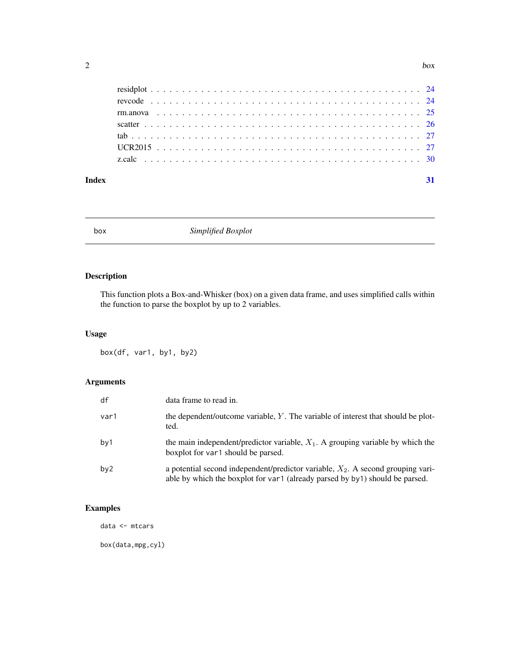<span id="page-1-0"></span>

#### **Index** [31](#page-30-0)

box *Simplified Boxplot*

## Description

This function plots a Box-and-Whisker (box) on a given data frame, and uses simplified calls within the function to parse the boxplot by up to 2 variables.

## Usage

box(df, var1, by1, by2)

## Arguments

| df              | data frame to read in.                                                                                                                                             |
|-----------------|--------------------------------------------------------------------------------------------------------------------------------------------------------------------|
| var1            | the dependent/outcome variable, Y. The variable of interest that should be plot-<br>ted.                                                                           |
| by1             | the main independent/predictor variable, $X_1$ . A grouping variable by which the<br>boxplot for var1 should be parsed.                                            |
| by <sub>2</sub> | a potential second independent/predictor variable, $X_2$ . A second grouping vari-<br>able by which the boxplot for var1 (already parsed by by1) should be parsed. |

## Examples

data <- mtcars

box(data,mpg,cyl)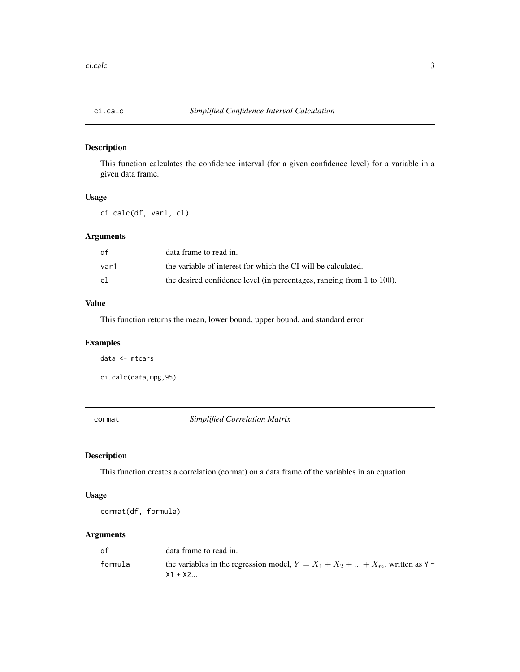<span id="page-2-0"></span>

This function calculates the confidence interval (for a given confidence level) for a variable in a given data frame.

## Usage

ci.calc(df, var1, cl)

## Arguments

| df   | data frame to read in.                                                     |
|------|----------------------------------------------------------------------------|
| var1 | the variable of interest for which the CI will be calculated.              |
| cl   | the desired confidence level (in percentages, ranging from $1$ to $100$ ). |

## Value

This function returns the mean, lower bound, upper bound, and standard error.

## Examples

data <- mtcars

ci.calc(data,mpg,95)

cormat *Simplified Correlation Matrix*

## Description

This function creates a correlation (cormat) on a data frame of the variables in an equation.

#### Usage

cormat(df, formula)

#### Arguments

| df      | data frame to read in.                                                                        |
|---------|-----------------------------------------------------------------------------------------------|
| formula | the variables in the regression model, $Y = X_1 + X_2 +  + X_m$ , written as Y ~<br>$X1 + X2$ |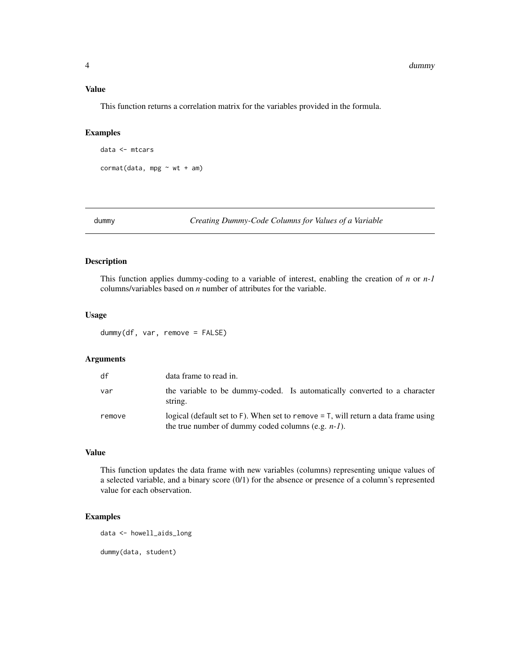#### <span id="page-3-0"></span>Value

This function returns a correlation matrix for the variables provided in the formula.

#### Examples

```
data <- mtcars
cormat(data, mpg ~ wt + am)
```
dummy *Creating Dummy-Code Columns for Values of a Variable*

## Description

This function applies dummy-coding to a variable of interest, enabling the creation of *n* or *n-1* columns/variables based on *n* number of attributes for the variable.

#### Usage

dummy(df, var, remove = FALSE)

## Arguments

| df     | data frame to read in.                                                                                                                        |
|--------|-----------------------------------------------------------------------------------------------------------------------------------------------|
| var    | the variable to be dummy-coded. Is automatically converted to a character<br>string.                                                          |
| remove | logical (default set to F). When set to remove $=$ T, will return a data frame using<br>the true number of dummy coded columns (e.g. $n-1$ ). |

## Value

This function updates the data frame with new variables (columns) representing unique values of a selected variable, and a binary score (0/1) for the absence or presence of a column's represented value for each observation.

## Examples

data <- howell\_aids\_long

dummy(data, student)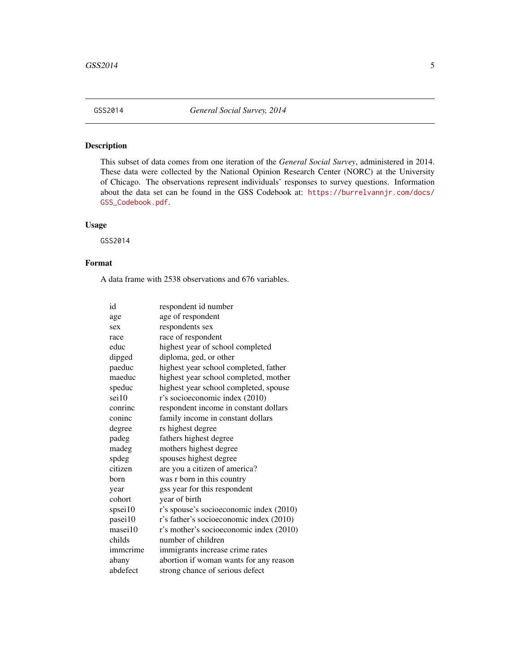<span id="page-4-0"></span>

This subset of data comes from one iteration of the *General Social Survey*, administered in 2014. These data were collected by the National Opinion Research Center (NORC) at the University of Chicago. The observations represent individuals' responses to survey questions. Information about the data set can be found in the GSS Codebook at: [https://burrelvannjr.com/docs/](https://burrelvannjr.com/docs/GSS_Codebook.pdf) [GSS\\_Codebook.pdf](https://burrelvannjr.com/docs/GSS_Codebook.pdf).

#### Usage

GSS2014

### Format

A data frame with 2538 observations and 676 variables.

| id       | respondent id number                    |
|----------|-----------------------------------------|
| age      | age of respondent                       |
| sex      | respondents sex                         |
| race     | race of respondent                      |
| educ     | highest year of school completed        |
| dipged   | diploma, ged, or other                  |
| paeduc   | highest year school completed, father   |
| maeduc   | highest year school completed, mother   |
| speduc   | highest year school completed, spouse   |
| sei10    | r's socioeconomic index (2010)          |
| conrinc  | respondent income in constant dollars   |
| coninc   | family income in constant dollars       |
| degree   | rs highest degree                       |
| padeg    | fathers highest degree                  |
| madeg    | mothers highest degree                  |
| spdeg    | spouses highest degree                  |
| citizen  | are you a citizen of america?           |
| born     | was r born in this country              |
| year     | gss year for this respondent            |
| cohort   | year of birth                           |
| spsei10  | r's spouse's socioeconomic index (2010) |
| pasei10  | r's father's socioeconomic index (2010) |
| masei10  | r's mother's socioeconomic index (2010) |
| childs   | number of children                      |
| immerime | immigrants increase crime rates         |
| abany    | abortion if woman wants for any reason  |
| abdefect | strong chance of serious defect         |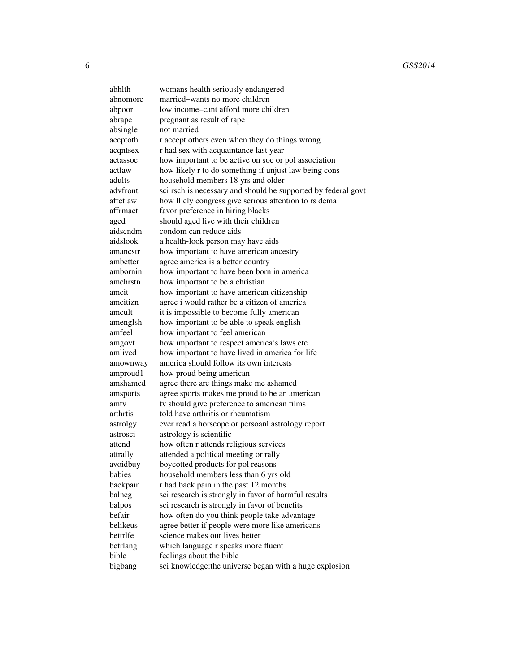abhlth womans health seriously endangered abnomore married–wants no more children abpoor low income–cant afford more children abrape pregnant as result of rape absingle not married accptoth r accept others even when they do things wrong acqntsex r had sex with acquaintance last year actassoc how important to be active on soc or pol association actlaw how likely r to do something if unjust law being cons adults household members 18 yrs and older advfront sci rsch is necessary and should be supported by federal govt affctlaw how lliely congress give serious attention to rs dema affrmact favor preference in hiring blacks aged should aged live with their children aidscndm condom can reduce aids aidslook a health-look person may have aids amancstr how important to have american ancestry ambetter agree america is a better country ambornin how important to have been born in america amchrstn how important to be a christian amcit how important to have american citizenship amcitizn agree i would rather be a citizen of america amcult it is impossible to become fully american amenglsh how important to be able to speak english amfeel how important to feel american amgovt how important to respect america's laws etc amlived how important to have lived in america for life amownway america should follow its own interests amproud1 how proud being american amshamed agree there are things make me ashamed amsports agree sports makes me proud to be an american amty tv should give preference to american films arthrtis told have arthritis or rheumatism astrolgy ever read a horscope or persoanl astrology report astrosci astrology is scientific attend how often r attends religious services attrally attended a political meeting or rally avoidbuy boycotted products for pol reasons babies household members less than 6 yrs old backpain r had back pain in the past 12 months balneg sci research is strongly in favor of harmful results balpos sci research is strongly in favor of benefits befair how often do you think people take advantage belikeus agree better if people were more like americans bettrife science makes our lives better betrlang which language r speaks more fluent bible feelings about the bible bigbang sci knowledge: the universe began with a huge explosion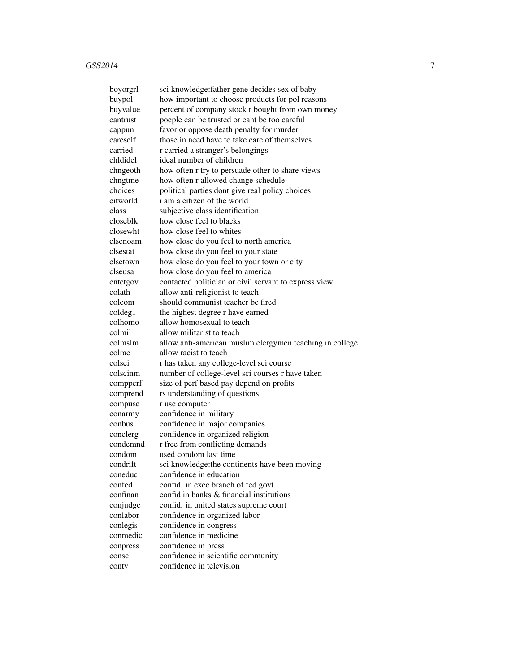| boyorgrl | sci knowledge: father gene decides sex of baby           |
|----------|----------------------------------------------------------|
| buypol   | how important to choose products for pol reasons         |
| buyvalue | percent of company stock r bought from own money         |
| cantrust | poeple can be trusted or cant be too careful             |
| cappun   | favor or oppose death penalty for murder                 |
| careself | those in need have to take care of themselves            |
| carried  | r carried a stranger's belongings                        |
| chldidel | ideal number of children                                 |
| chngeoth | how often r try to persuade other to share views         |
| chngtme  | how often r allowed change schedule                      |
| choices  | political parties dont give real policy choices          |
| citworld | i am a citizen of the world                              |
| class    | subjective class identification                          |
| closeblk | how close feel to blacks                                 |
| closewht | how close feel to whites                                 |
| clsenoam | how close do you feel to north america                   |
| clsestat | how close do you feel to your state                      |
| clsetown | how close do you feel to your town or city               |
| clseusa  | how close do you feel to america                         |
| cntctgov | contacted politician or civil servant to express view    |
| colath   | allow anti-religionist to teach                          |
| colcom   | should communist teacher be fired                        |
| coldeg1  | the highest degree r have earned                         |
| colhomo  | allow homosexual to teach                                |
| colmil   | allow militarist to teach                                |
| colmslm  | allow anti-american muslim clergymen teaching in college |
| colrac   | allow racist to teach                                    |
| colsci   | r has taken any college-level sci course                 |
| colscinm | number of college-level sci courses r have taken         |
| compperf | size of perf based pay depend on profits                 |
| comprend | rs understanding of questions                            |
| compuse  | r use computer                                           |
| conarmy  | confidence in military                                   |
| conbus   | confidence in major companies                            |
| conclerg | confidence in organized religion                         |
| condemnd | r free from conflicting demands                          |
| condom   | used condom last time                                    |
| condrift | sci knowledge: the continents have been moving           |
| coneduc  | confidence in education                                  |
| confed   | confid. in exec branch of fed govt                       |
| confinan | confid in banks & financial institutions                 |
| conjudge | confid. in united states supreme court                   |
| conlabor | confidence in organized labor                            |
| conlegis | confidence in congress                                   |
| conmedic | confidence in medicine                                   |
| conpress | confidence in press                                      |
| consci   | confidence in scientific community                       |
| conty    | confidence in television                                 |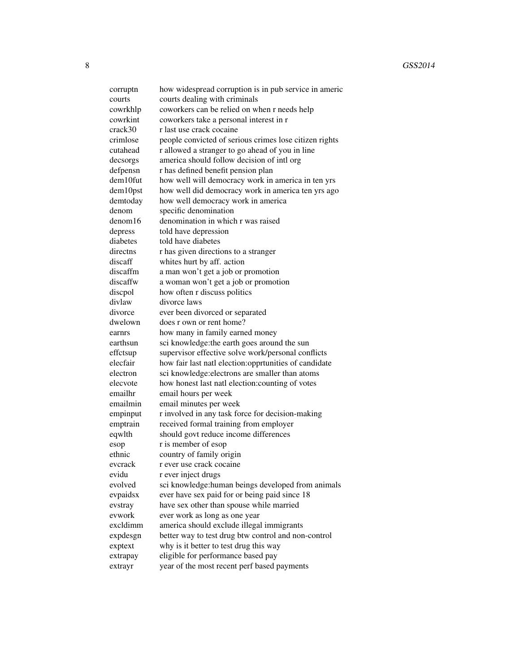corrupt how widespread corruption is in pub service in americ courts courts dealing with criminals cowrkhlp coworkers can be relied on when r needs help cowrkint coworkers take a personal interest in r crack30 r last use crack cocaine crimlose people convicted of serious crimes lose citizen rights cutahead r allowed a stranger to go ahead of you in line decsorgs america should follow decision of intl org defpensn r has defined benefit pension plan dem10fut how well will democracy work in america in ten yrs dem10pst how well did democracy work in america ten yrs ago demtoday how well democracy work in america denom specific denomination denom16 denomination in which r was raised depress told have depression diabetes told have diabetes directns r has given directions to a stranger discaff whites hurt by aff. action discaffm a man won't get a job or promotion discaffw a woman won't get a job or promotion discpol how often r discuss politics divlaw divorce laws divorce ever been divorced or separated dwelown does r own or rent home? earnrs how many in family earned money earthsun sci knowledge: the earth goes around the sun effctsup supervisor effective solve work/personal conflicts elecfair how fair last natl election:opprtunities of candidate electron sci knowledge: electrons are smaller than atoms elecvote how honest last natl election:counting of votes emailhr email hours per week emailmin email minutes per week empinput r involved in any task force for decision-making emptrain received formal training from employer eqwlth should govt reduce income differences esop r is member of esop ethnic country of family origin evcrack r ever use crack cocaine evidu r ever inject drugs evolved sci knowledge:human beings developed from animals evpaidsx ever have sex paid for or being paid since 18 evstray have sex other than spouse while married evwork ever work as long as one year excldimm america should exclude illegal immigrants expdesgn better way to test drug btw control and non-control exptext why is it better to test drug this way extrapay eligible for performance based pay extrayr year of the most recent perf based payments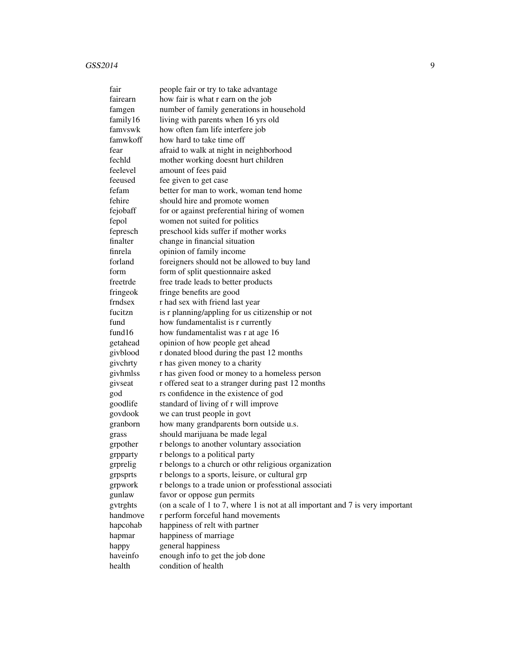| fair     | people fair or try to take advantage                                           |
|----------|--------------------------------------------------------------------------------|
| fairearn | how fair is what r earn on the job                                             |
| famgen   | number of family generations in household                                      |
| family16 | living with parents when 16 yrs old                                            |
| famvswk  | how often fam life interfere job                                               |
| famwkoff | how hard to take time off                                                      |
| fear     | afraid to walk at night in neighborhood                                        |
| fechld   | mother working doesnt hurt children                                            |
| feelevel | amount of fees paid                                                            |
| feeused  | fee given to get case                                                          |
| fefam    | better for man to work, woman tend home                                        |
| fehire   | should hire and promote women                                                  |
| fejobaff | for or against preferential hiring of women                                    |
| fepol    | women not suited for politics                                                  |
| fepresch | preschool kids suffer if mother works                                          |
| finalter | change in financial situation                                                  |
| finrela  | opinion of family income                                                       |
| forland  | foreigners should not be allowed to buy land                                   |
| form     | form of split questionnaire asked                                              |
| freetrde | free trade leads to better products                                            |
| fringeok | fringe benefits are good                                                       |
| frndsex  | r had sex with friend last year                                                |
| fucitzn  | is r planning/appling for us citizenship or not                                |
| fund     | how fundamentalist is r currently                                              |
| fund16   | how fundamentalist was r at age 16                                             |
| getahead | opinion of how people get ahead                                                |
| givblood | r donated blood during the past 12 months                                      |
| givchrty | r has given money to a charity                                                 |
| givhmlss | r has given food or money to a homeless person                                 |
| givseat  | r offered seat to a stranger during past 12 months                             |
| god      | rs confidence in the existence of god                                          |
| goodlife | standard of living of r will improve                                           |
| govdook  | we can trust people in govt                                                    |
| granborn | how many grandparents born outside u.s.                                        |
| grass    | should marijuana be made legal                                                 |
| grpother | r belongs to another voluntary association                                     |
| grpparty | r belongs to a political party                                                 |
| grprelig | r belongs to a church or othr religious organization                           |
| grpsprts | r belongs to a sports, leisure, or cultural grp                                |
| grpwork  | r belongs to a trade union or professtional associati                          |
| gunlaw   | favor or oppose gun permits                                                    |
| gytrghts | (on a scale of 1 to 7, where 1 is not at all important and 7 is very important |
| handmove | r perform forceful hand movements                                              |
| hapcohab | happiness of relt with partner                                                 |
| hapmar   | happiness of marriage                                                          |
| happy    | general happiness                                                              |
| haveinfo | enough info to get the job done                                                |
| health   | condition of health                                                            |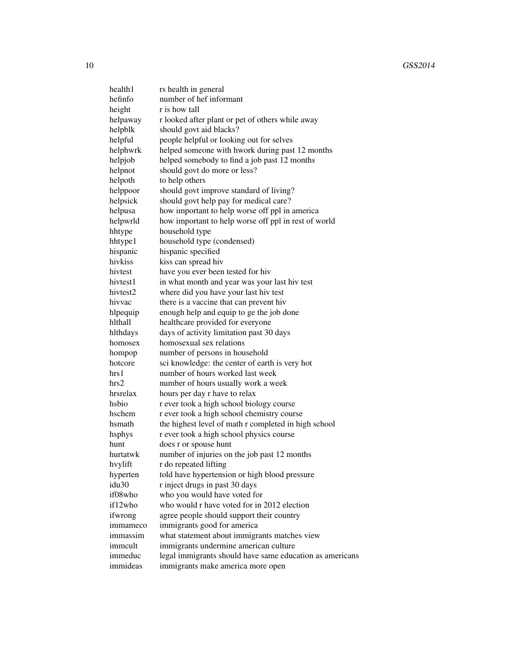| health1           | rs health in general                                     |
|-------------------|----------------------------------------------------------|
| hefinfo           | number of hef informant                                  |
| height            | r is how tall                                            |
| helpaway          | r looked after plant or pet of others while away         |
| helpblk           | should govt aid blacks?                                  |
| helpful           | people helpful or looking out for selves                 |
| helphwrk          | helped someone with hwork during past 12 months          |
| helpjob           | helped somebody to find a job past 12 months             |
| helpnot           | should govt do more or less?                             |
| helpoth           | to help others                                           |
| helppoor          | should govt improve standard of living?                  |
| helpsick          | should govt help pay for medical care?                   |
| helpusa           | how important to help worse off ppl in america           |
| helpwrld          | how important to help worse off ppl in rest of world     |
| hhtype            | household type                                           |
| hhtype1           | household type (condensed)                               |
| hispanic          | hispanic specified                                       |
| hivkiss           | kiss can spread hiv                                      |
| hivtest           | have you ever been tested for hiv                        |
| hivtest1          | in what month and year was your last hiv test            |
| hivtest2          | where did you have your last hiv test                    |
| hivvac            | there is a vaccine that can prevent hiv                  |
| hlpequip          | enough help and equip to ge the job done                 |
| hlthall           | healthcare provided for everyone                         |
| hlthdays          | days of activity limitation past 30 days                 |
| homosex           | homosexual sex relations                                 |
| hompop            | number of persons in household                           |
| hotcore           | sci knowledge: the center of earth is very hot           |
| hrs 1             | number of hours worked last week                         |
| hrs2              | number of hours usually work a week                      |
| hrsrelax          | hours per day r have to relax                            |
| hsbio             | r ever took a high school biology course                 |
| hschem            | r ever took a high school chemistry course               |
| hsmath            | the highest level of math r completed in high school     |
| hsphys            | r ever took a high school physics course                 |
| hunt              | does r or spouse hunt                                    |
| hurtatwk          | number of injuries on the job past 12 months             |
| hvylift           | r do repeated lifting                                    |
| hyperten          | told have hypertension or high blood pressure            |
| idu <sub>30</sub> | r inject drugs in past 30 days                           |
| if08who           | who you would have voted for                             |
| if12who           | who would r have voted for in 2012 election              |
| ifwrong           | agree people should support their country                |
| immameco          | immigrants good for america                              |
| immassim          | what statement about immigrants matches view             |
| immcult           | immigrants undermine american culture                    |
| immeduc           | legal immigrants should have same education as americans |
| immideas          | immigrants make america more open                        |
|                   |                                                          |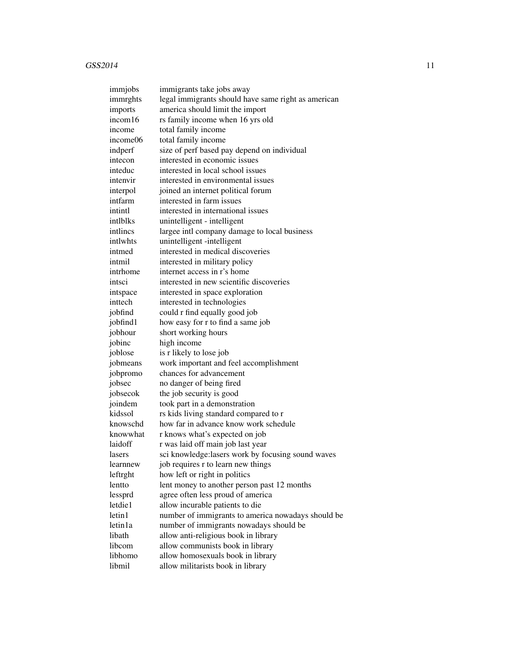| immjobs  | immigrants take jobs away                           |
|----------|-----------------------------------------------------|
| immrghts | legal immigrants should have same right as american |
| imports  | america should limit the import                     |
| incom16  | rs family income when 16 yrs old                    |
| income   | total family income                                 |
| income06 | total family income                                 |
| indperf  | size of perf based pay depend on individual         |
| intecon  | interested in economic issues                       |
| inteduc  | interested in local school issues                   |
| intenvir | interested in environmental issues                  |
| interpol | joined an internet political forum                  |
| intfarm  | interested in farm issues                           |
| intintl  | interested in international issues                  |
| intlblks | unintelligent - intelligent                         |
| intlincs | largee intl company damage to local business        |
| intlwhts | unintelligent -intelligent                          |
| intmed   | interested in medical discoveries                   |
| intmil   | interested in military policy                       |
| intrhome | internet access in r's home                         |
| intsci   | interested in new scientific discoveries            |
| intspace | interested in space exploration                     |
| inttech  | interested in technologies                          |
| jobfind  | could r find equally good job                       |
| jobfind1 | how easy for r to find a same job                   |
| jobhour  | short working hours                                 |
| jobinc   | high income                                         |
| joblose  | is r likely to lose job                             |
| jobmeans | work important and feel accomplishment              |
| jobpromo | chances for advancement                             |
| jobsec   | no danger of being fired                            |
| jobsecok | the job security is good                            |
| joindem  | took part in a demonstration                        |
| kidssol  | rs kids living standard compared to r               |
| knowschd | how far in advance know work schedule               |
| knowwhat | r knows what's expected on job                      |
| laidoff  | r was laid off main job last year                   |
| lasers   | sci knowledge: lasers work by focusing sound waves  |
| learnnew | job requires r to learn new things                  |
| leftrght | how left or right in politics                       |
| lentto   | lent money to another person past 12 months         |
| lessprd  | agree often less proud of america                   |
| letdie1  | allow incurable patients to die                     |
| letin1   | number of immigrants to america nowadays should be  |
| letin1a  | number of immigrants nowadays should be             |
| libath   | allow anti-religious book in library                |
| libcom   | allow communists book in library                    |
| libhomo  | allow homosexuals book in library                   |
| libmil   | allow militarists book in library                   |
|          |                                                     |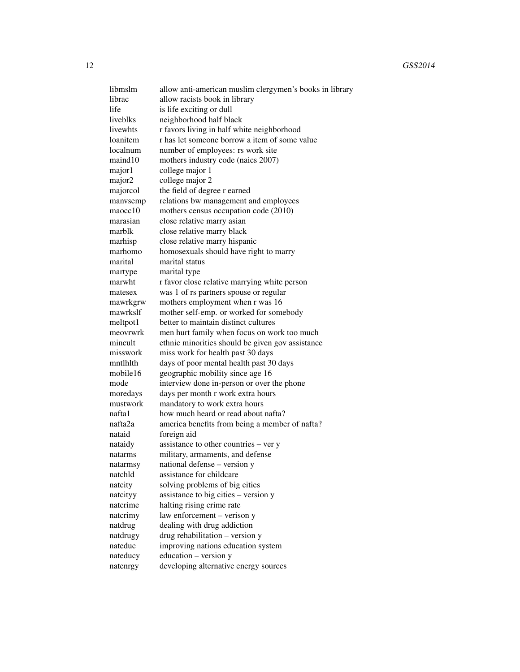libmslm allow anti-american muslim clergymen's books in library librac allow racists book in library life is life exciting or dull liveblks neighborhood half black livewhts r favors living in half white neighborhood loanitem r has let someone borrow a item of some value localnum number of employees: rs work site maind10 mothers industry code (naics 2007) major1 college major 1 major<sub>2</sub> college major 2 majorcol the field of degree r earned manvsemp relations bw management and employees maocc10 mothers census occupation code (2010) marasian close relative marry asian marblk close relative marry black marhisp close relative marry hispanic marhomo homosexuals should have right to marry marital marital status martype marital type marwht r favor close relative marrying white person matesex was 1 of rs partners spouse or regular mawrkgrw mothers employment when r was 16 mawrkslf mother self-emp. or worked for somebody meltpot1 better to maintain distinct cultures meovrwrk men hurt family when focus on work too much mincult ethnic minorities should be given gov assistance misswork miss work for health past 30 days mntlhlth days of poor mental health past 30 days mobile16 geographic mobility since age 16 mode interview done in-person or over the phone moredays days per month r work extra hours mustwork mandatory to work extra hours nafta1 how much heard or read about nafta? nafta2a america benefits from being a member of nafta? nataid foreign aid nataidy assistance to other countries – ver y natarms military, armaments, and defense natarmsy national defense – version y natchld assistance for childcare natcity solving problems of big cities natcityy assistance to big cities – version y natcrime halting rising crime rate natcrimy law enforcement – verison y natdrug dealing with drug addiction natdrugy drug rehabilitation – version y nateduc improving nations education system nateducy education – version y natenrgy developing alternative energy sources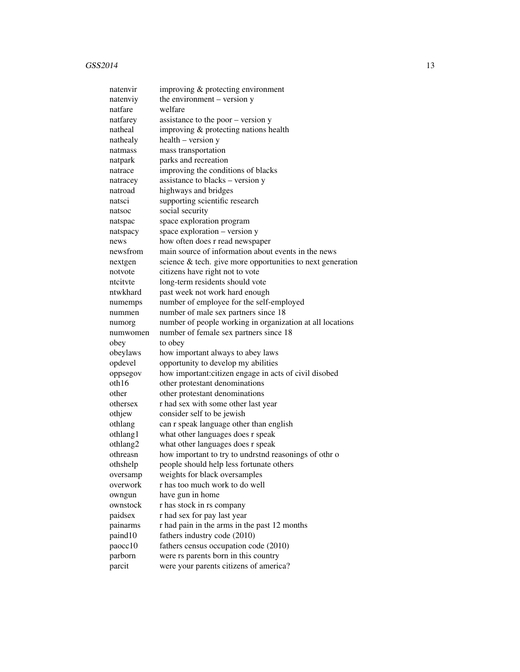| natenvir | improving & protecting environment                         |
|----------|------------------------------------------------------------|
| natenviy | the environment $-$ version $y$                            |
| natfare  | welfare                                                    |
| natfarey | assistance to the poor – version y                         |
| natheal  | improving & protecting nations health                      |
| nathealy | health – version y                                         |
| natmass  | mass transportation                                        |
| natpark  | parks and recreation                                       |
| natrace  | improving the conditions of blacks                         |
| natracey | assistance to blacks – version y                           |
| natroad  | highways and bridges                                       |
| natsci   | supporting scientific research                             |
| natsoc   | social security                                            |
| natspac  | space exploration program                                  |
| natspacy | space exploration - version y                              |
| news     | how often does r read newspaper                            |
| newsfrom | main source of information about events in the news        |
| nextgen  | science & tech. give more opportunities to next generation |
| notvote  | citizens have right not to vote                            |
| ntcityte | long-term residents should vote                            |
| ntwkhard | past week not work hard enough                             |
| numemps  | number of employee for the self-employed                   |
| nummen   | number of male sex partners since 18                       |
| numorg   | number of people working in organization at all locations  |
| numwomen | number of female sex partners since 18                     |
| obey     | to obey                                                    |
| obeylaws | how important always to abey laws                          |
| opdevel  | opportunity to develop my abilities                        |
| oppsegov | how important: citizen engage in acts of civil disobed     |
| oth16    | other protestant denominations                             |
| other    | other protestant denominations                             |
| othersex | r had sex with some other last year                        |
| othjew   | consider self to be jewish                                 |
| othlang  | can r speak language other than english                    |
| othlang1 | what other languages does r speak                          |
| othlang2 | what other languages does r speak                          |
| othreasn | how important to try to undrstnd reasonings of othr o      |
| othshelp | people should help less fortunate others                   |
| oversamp | weights for black oversamples                              |
| overwork | r has too much work to do well                             |
| owngun   | have gun in home                                           |
| ownstock | r has stock in rs company                                  |
| paidsex  | r had sex for pay last year                                |
| painarms | r had pain in the arms in the past 12 months               |
| paind10  | fathers industry code (2010)                               |
| paocc10  | fathers census occupation code (2010)                      |
| parborn  | were rs parents born in this country                       |
| parcit   | were your parents citizens of america?                     |
|          |                                                            |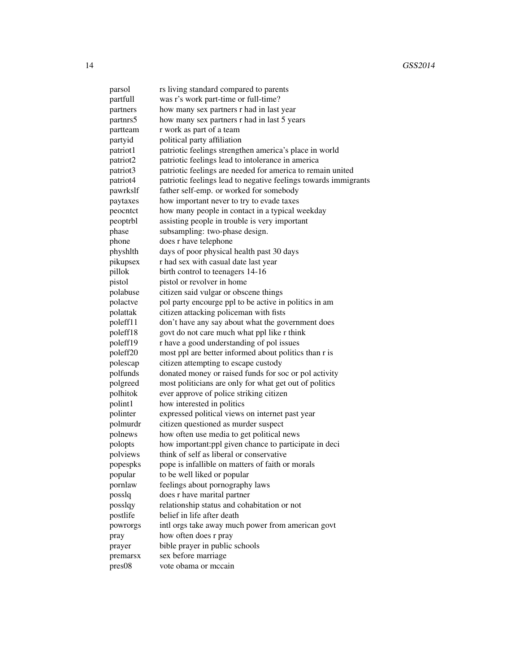| parsol             | rs living standard compared to parents                          |
|--------------------|-----------------------------------------------------------------|
| partfull           | was r's work part-time or full-time?                            |
| partners           | how many sex partners r had in last year                        |
| partnrs5           | how many sex partners r had in last 5 years                     |
| partteam           | r work as part of a team                                        |
| partyid            | political party affiliation                                     |
| patriot1           | patriotic feelings strengthen america's place in world          |
| patriot2           | patriotic feelings lead to intolerance in america               |
| patriot3           | patriotic feelings are needed for america to remain united      |
| patriot4           | patriotic feelings lead to negative feelings towards immigrants |
| pawrkslf           | father self-emp. or worked for somebody                         |
| paytaxes           | how important never to try to evade taxes                       |
| peocntct           | how many people in contact in a typical weekday                 |
| peoptrbl           | assisting people in trouble is very important                   |
| phase              | subsampling: two-phase design.                                  |
| phone              | does r have telephone                                           |
| physhlth           | days of poor physical health past 30 days                       |
| pikupsex           | r had sex with casual date last year                            |
| pillok             | birth control to teenagers 14-16                                |
|                    | pistol or revolver in home                                      |
| pistol<br>polabuse | citizen said vulgar or obscene things                           |
|                    |                                                                 |
| polactve           | pol party encourge ppl to be active in politics in am           |
| polattak           | citizen attacking policeman with fists                          |
| poleff11           | don't have any say about what the government does               |
| poleff18           | govt do not care much what ppl like r think                     |
| poleff19           | r have a good understanding of pol issues                       |
| poleff20           | most ppl are better informed about politics than r is           |
| polescap           | citizen attempting to escape custody                            |
| polfunds           | donated money or raised funds for soc or pol activity           |
| polgreed           | most politicians are only for what get out of politics          |
| polhitok           | ever approve of police striking citizen                         |
| polint1            | how interested in politics                                      |
| polinter           | expressed political views on internet past year                 |
| polmurdr           | citizen questioned as murder suspect                            |
| polnews            | how often use media to get political news                       |
| polopts            | how important: ppl given chance to participate in deci          |
| polviews           | think of self as liberal or conservative                        |
| popespks           | pope is infallible on matters of faith or morals                |
| popular            | to be well liked or popular                                     |
| pornlaw            | feelings about pornography laws                                 |
| posslq             | does r have marital partner                                     |
| posslqy            | relationship status and cohabitation or not                     |
| postlife           | belief in life after death                                      |
| powrorgs           | intl orgs take away much power from american govt               |
| pray               | how often does r pray                                           |
| prayer             | bible prayer in public schools                                  |
| premarsx           | sex before marriage                                             |
| pres08             | vote obama or mccain                                            |
|                    |                                                                 |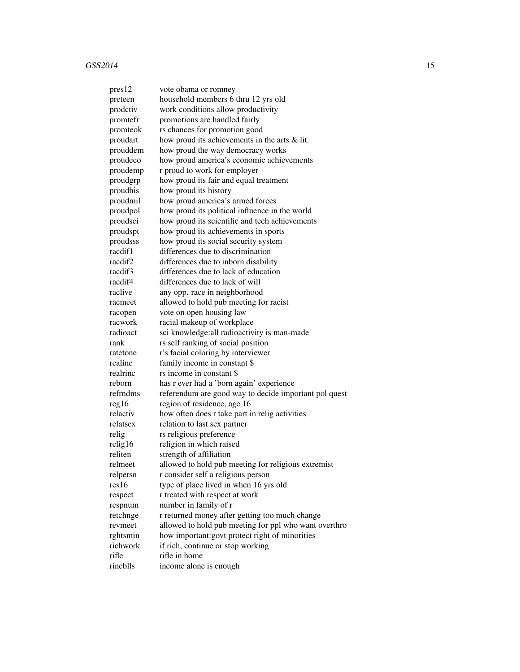| pres12   | vote obama or romney                                  |
|----------|-------------------------------------------------------|
| preteen  | household members 6 thru 12 yrs old                   |
| prodctiv | work conditions allow productivity                    |
| promtefr | promotions are handled fairly                         |
| promteok | rs chances for promotion good                         |
| proudart | how proud its achievements in the arts & lit.         |
| prouddem | how proud the way democracy works                     |
| proudeco | how proud america's economic achievements             |
| proudemp | r proud to work for employer                          |
| proudgrp | how proud its fair and equal treatment                |
| proudhis | how proud its history                                 |
| proudmil | how proud america's armed forces                      |
| proudpol | how proud its political influence in the world        |
| proudsci | how proud its scientific and tech achievements        |
| proudspt | how proud its achievements in sports                  |
| proudsss | how proud its social security system                  |
| racdif1  | differences due to discrimination                     |
| racdif2  | differences due to inborn disability                  |
| racdif3  | differences due to lack of education                  |
| racdif4  | differences due to lack of will                       |
| raclive  | any opp. race in neighborhood                         |
| racmeet  | allowed to hold pub meeting for racist                |
| racopen  | vote on open housing law                              |
| racwork  | racial makeup of workplace                            |
| radioact | sci knowledge: all radioactivity is man-made          |
| rank     | rs self ranking of social position                    |
| ratetone | r's facial coloring by interviewer                    |
| realinc  | family income in constant \$                          |
| realrinc | rs income in constant \$                              |
| reborn   | has r ever had a 'born again' experience              |
| refrndms | referendum are good way to decide important pol quest |
| reg16    | region of residence, age 16                           |
| relactiv | how often does r take part in relig activities        |
| relatsex | relation to last sex partner                          |
| relig    | rs religious preference                               |
| relig16  | religion in which raised                              |
| reliten  | strength of affiliation                               |
| relmeet  | allowed to hold pub meeting for religious extremist   |
| relpersn | r consider self a religious person                    |
| res16    | type of place lived in when 16 yrs old                |
| respect  | r treated with respect at work                        |
| respnum  | number in family of r                                 |
| retchnge | r returned money after getting too much change        |
| revmeet  | allowed to hold pub meeting for ppl who want overthro |
| rghtsmin | how important: govt protect right of minorities       |
| richwork | if rich, continue or stop working                     |
| rifle    | rifle in home                                         |
| rincblls | income alone is enough                                |
|          |                                                       |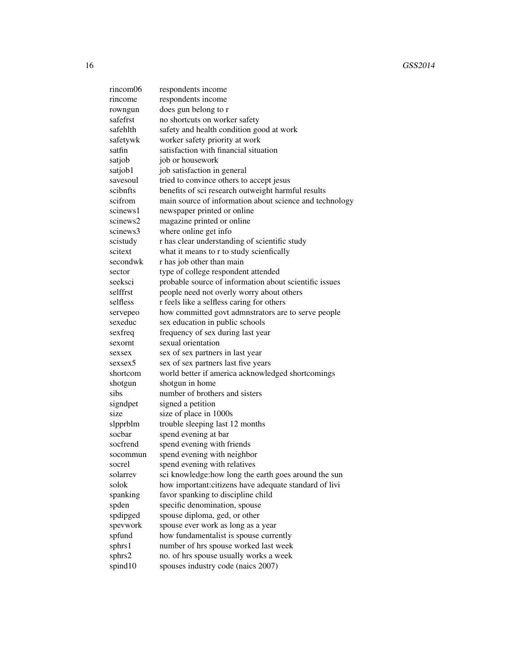16 GSS2014

| rincom06 | respondents income                                      |
|----------|---------------------------------------------------------|
| rincome  | respondents income                                      |
| rowngun  | does gun belong to r                                    |
| safefrst | no shortcuts on worker safety                           |
| safehlth | safety and health condition good at work                |
| safetywk | worker safety priority at work                          |
| satfin   | satisfaction with financial situation                   |
| satjob   | job or housework                                        |
| satjob1  | job satisfaction in general                             |
| savesoul | tried to convince others to accept jesus                |
| scibnfts | benefits of sci research outweight harmful results      |
| scifrom  | main source of information about science and technology |
| scinews1 | newspaper printed or online                             |
| scinews2 | magazine printed or online                              |
| scinews3 | where online get info                                   |
| scistudy | r has clear understanding of scientific study           |
| scitext  | what it means to r to study scienfically                |
| secondwk | r has job other than main                               |
| sector   | type of college respondent attended                     |
| seeksci  | probable source of information about scientific issues  |
| selffrst | people need not overly worry about others               |
| selfless | r feels like a selfless caring for others               |
| servepeo | how committed govt admnstrators are to serve people     |
| sexeduc  | sex education in public schools                         |
| sexfreq  | frequency of sex during last year                       |
| sexornt  | sexual orientation                                      |
| sexsex   | sex of sex partners in last year                        |
| sexsex5  | sex of sex partners last five years                     |
| shortcom | world better if america acknowledged shortcomings       |
| shotgun  | shotgun in home                                         |
| sibs     | number of brothers and sisters                          |
| signdpet | signed a petition                                       |
| size     | size of place in 1000s                                  |
| slpprblm | trouble sleeping last 12 months                         |
| sochar   | spend evening at bar                                    |
| socfrend | spend evening with friends                              |
| socommun | spend evening with neighbor                             |
| socrel   | spend evening with relatives                            |
| solarrev | sci knowledge: how long the earth goes around the sun   |
| solok    | how important: citizens have adequate standard of livi  |
| spanking | favor spanking to discipline child                      |
| spden    | specific denomination, spouse                           |
| spdipged | spouse diploma, ged, or other                           |
| spevwork | spouse ever work as long as a year                      |
| spfund   | how fundamentalist is spouse currently                  |
| sphrs1   | number of hrs spouse worked last week                   |
| sphrs2   | no. of hrs spouse usually works a week                  |
| spind10  | spouses industry code (naics 2007)                      |
|          |                                                         |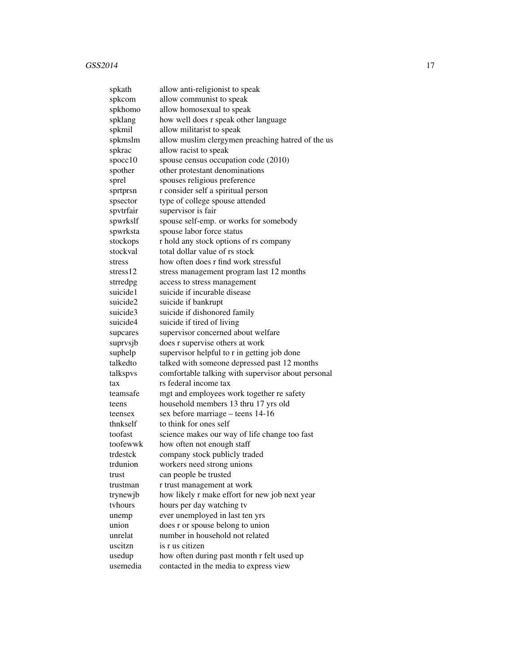| spkath    | allow anti-religionist to speak                    |
|-----------|----------------------------------------------------|
| spkcom    | allow communist to speak                           |
| spkhomo   | allow homosexual to speak                          |
| spklang   | how well does r speak other language               |
| spkmil    | allow militarist to speak                          |
| spkmslm   | allow muslim clergymen preaching hatred of the us  |
| spkrac    | allow racist to speak                              |
| space10   | spouse census occupation code (2010)               |
| spother   | other protestant denominations                     |
| sprel     | spouses religious preference                       |
| sprtprsn  | r consider self a spiritual person                 |
| spsector  | type of college spouse attended                    |
| spvtrfair | supervisor is fair                                 |
| spwrkslf  | spouse self-emp. or works for somebody             |
| spwrksta  | spouse labor force status                          |
| stockops  | r hold any stock options of rs company             |
| stockval  | total dollar value of rs stock                     |
| stress    | how often does r find work stressful               |
| stress12  | stress management program last 12 months           |
| strredpg  | access to stress management                        |
| suicide1  | suicide if incurable disease                       |
| suicide2  | suicide if bankrupt                                |
| suicide3  | suicide if dishonored family                       |
| suicide4  | suicide if tired of living                         |
| supcares  | supervisor concerned about welfare                 |
| suprvsjb  | does r supervise others at work                    |
| suphelp   | supervisor helpful to r in getting job done        |
| talkedto  | talked with someone depressed past 12 months       |
| talkspvs  | comfortable talking with supervisor about personal |
| tax       | rs federal income tax                              |
| teamsafe  | mgt and employees work together re safety          |
| teens     | household members 13 thru 17 yrs old               |
| teensex   | sex before marriage – teens 14-16                  |
| thnkself  | to think for ones self                             |
| toofast   | science makes our way of life change too fast      |
| toofewwk  | how often not enough staff                         |
| trdestck  | company stock publicly traded                      |
| trdunion  | workers need strong unions                         |
| trust     | can people be trusted                              |
| trustman  | r trust management at work                         |
| trynewjb  | how likely r make effort for new job next year     |
| tyhours   | hours per day watching tv                          |
| unemp     | ever unemployed in last ten yrs                    |
| union     | does r or spouse belong to union                   |
| unrelat   | number in household not related                    |
| uscitzn   | is r us citizen                                    |
| usedup    | how often during past month r felt used up         |
| usemedia  | contacted in the media to express view             |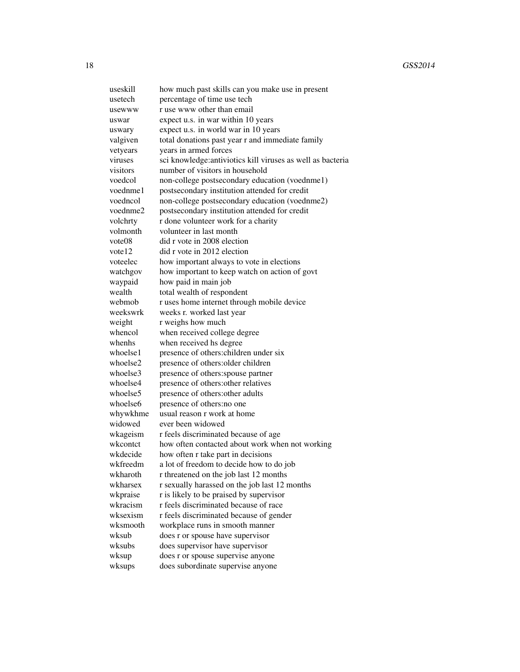useskill how much past skills can you make use in present usetech percentage of time use tech usewww r use www other than email uswar expect u.s. in war within 10 years uswary expect u.s. in world war in 10 years valgiven total donations past year r and immediate family vetyears years in armed forces viruses sci knowledge:antiviotics kill viruses as well as bacteria visitors number of visitors in household voedcol non-college postsecondary education (voednme1) voednme1 postsecondary institution attended for credit voedncol non-college postsecondary education (voednme2) voednme2 postsecondary institution attended for credit volchrty r done volunteer work for a charity volmonth volunteer in last month vote08 did r vote in 2008 election vote 12 did r vote in 2012 election voteelec how important always to vote in elections watchgov how important to keep watch on action of govt waypaid how paid in main job wealth total wealth of respondent webmob r uses home internet through mobile device weekswrk weeks r. worked last year weight r weighs how much whencol when received college degree whenhs when received hs degree whoelse1 presence of others:children under six whoelse2 presence of others: older children whoelse3 presence of others: spouse partner whoelse4 presence of others: other relatives whoelse5 presence of others: other adults whoelse<sub>6</sub> presence of others:no one whywkhme usual reason r work at home widowed ever been widowed wkageism r feels discriminated because of age wkcontct how often contacted about work when not working wkdecide how often r take part in decisions wkfreedm a lot of freedom to decide how to do job wkharoth r threatened on the job last 12 months wkharsex r sexually harassed on the job last 12 months wkpraise r is likely to be praised by supervisor wkracism r feels discriminated because of race wksexism r feels discriminated because of gender wksmooth workplace runs in smooth manner wksub does r or spouse have supervisor wksubs does supervisor have supervisor wksup does r or spouse supervise anyone wksups does subordinate supervise anyone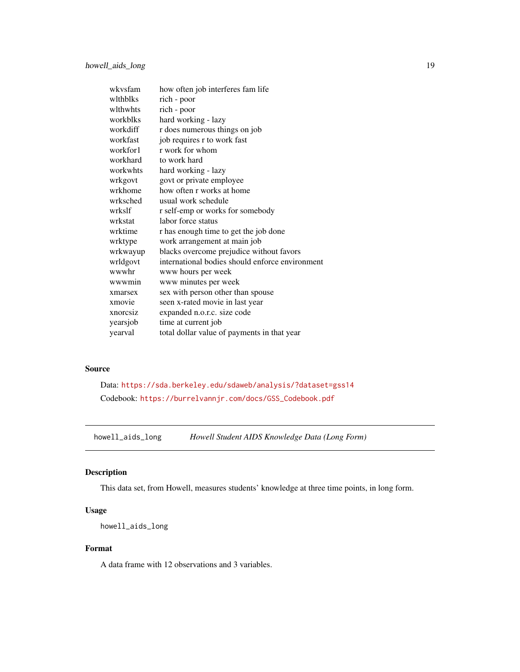<span id="page-18-0"></span>

| wkysfam  | how often job interferes fam life               |
|----------|-------------------------------------------------|
| wlthblks | rich - poor                                     |
| wlthwhts | rich - poor                                     |
| workblks | hard working - lazy                             |
| workdiff | r does numerous things on job                   |
| workfast | job requires r to work fast                     |
| workfor1 | r work for whom                                 |
| workhard | to work hard                                    |
| workwhts | hard working - lazy                             |
| wrkgovt  | govt or private employee                        |
| wrkhome  | how often r works at home                       |
| wrksched | usual work schedule                             |
| wrkslf   | r self-emp or works for somebody                |
| wrkstat  | labor force status                              |
| wrktime  | r has enough time to get the job done           |
| wrktype  | work arrangement at main job                    |
| wrkwayup | blacks overcome prejudice without favors        |
| wrldgovt | international bodies should enforce environment |
| wwwhr    | www hours per week                              |
| wwwmin   | www minutes per week                            |
| xmarsex  | sex with person other than spouse               |
| xmovie   | seen x-rated movie in last year                 |
| xnorcsiz | expanded n.o.r.c. size code                     |
| yearsjob | time at current job                             |
| yearval  | total dollar value of payments in that year     |

## Source

Data: <https://sda.berkeley.edu/sdaweb/analysis/?dataset=gss14> Codebook: [https://burrelvannjr.com/docs/GSS\\_Codebook.pdf](https://burrelvannjr.com/docs/GSS_Codebook.pdf)

howell\_aids\_long *Howell Student AIDS Knowledge Data (Long Form)*

## Description

This data set, from Howell, measures students' knowledge at three time points, in long form.

### Usage

howell\_aids\_long

## Format

A data frame with 12 observations and 3 variables.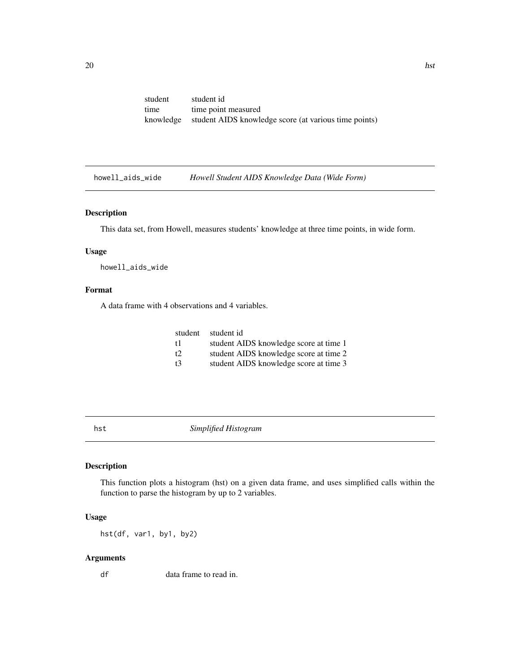<span id="page-19-0"></span>

| student   | student id                                            |
|-----------|-------------------------------------------------------|
| time      | time point measured                                   |
| knowledge | student AIDS knowledge score (at various time points) |

howell\_aids\_wide *Howell Student AIDS Knowledge Data (Wide Form)*

#### Description

This data set, from Howell, measures students' knowledge at three time points, in wide form.

## Usage

howell\_aids\_wide

## Format

A data frame with 4 observations and 4 variables.

| student student id                     |
|----------------------------------------|
| student AIDS knowledge score at time 1 |
| student AIDS knowledge score at time 2 |
| student AIDS knowledge score at time 3 |
|                                        |

hst *Simplified Histogram*

## Description

This function plots a histogram (hst) on a given data frame, and uses simplified calls within the function to parse the histogram by up to 2 variables.

## Usage

hst(df, var1, by1, by2)

## Arguments

df data frame to read in.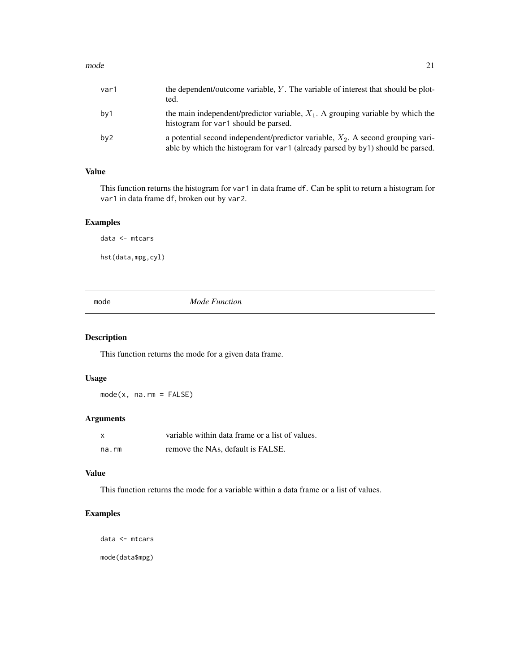#### <span id="page-20-0"></span> $\Box$  21

| var1            | the dependent/outcome variable, $Y$ . The variable of interest that should be plot-<br>ted.                                                                          |
|-----------------|----------------------------------------------------------------------------------------------------------------------------------------------------------------------|
| by1             | the main independent/predictor variable, $X_1$ . A grouping variable by which the<br>histogram for var1 should be parsed.                                            |
| by <sub>2</sub> | a potential second independent/predictor variable, $X_2$ . A second grouping vari-<br>able by which the histogram for var1 (already parsed by by1) should be parsed. |

## Value

This function returns the histogram for var1 in data frame df. Can be split to return a histogram for var1 in data frame df, broken out by var2.

## Examples

data <- mtcars

hst(data,mpg,cyl)

mode *Mode Function*

## Description

This function returns the mode for a given data frame.

## Usage

mode(x, na.rm = FALSE)

## Arguments

| $\times$ | variable within data frame or a list of values. |
|----------|-------------------------------------------------|
| na.rm    | remove the NAs, default is FALSE.               |

## Value

This function returns the mode for a variable within a data frame or a list of values.

## Examples

data <- mtcars

mode(data\$mpg)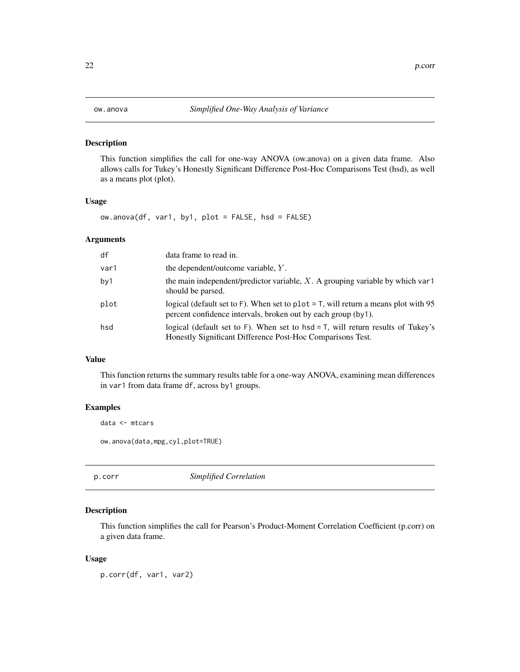<span id="page-21-0"></span>

This function simplifies the call for one-way ANOVA (ow.anova) on a given data frame. Also allows calls for Tukey's Honestly Significant Difference Post-Hoc Comparisons Test (hsd), as well as a means plot (plot).

#### Usage

ow.anova(df, var1, by1, plot = FALSE, hsd = FALSE)

#### Arguments

| df   | data frame to read in.                                                                                                                                 |
|------|--------------------------------------------------------------------------------------------------------------------------------------------------------|
| var1 | the dependent/outcome variable, Y.                                                                                                                     |
| by1  | the main independent/predictor variable, $X$ . A grouping variable by which var1<br>should be parsed.                                                  |
| plot | logical (default set to F). When set to plot = $T$ , will return a means plot with 95<br>percent confidence intervals, broken out by each group (by1). |
| hsd  | logical (default set to F). When set to $hsd = T$ , will return results of Tukey's<br>Honestly Significant Difference Post-Hoc Comparisons Test.       |

## Value

This function returns the summary results table for a one-way ANOVA, examining mean differences in var1 from data frame df, across by1 groups.

#### Examples

data <- mtcars

ow.anova(data,mpg,cyl,plot=TRUE)

p.corr *Simplified Correlation*

### Description

This function simplifies the call for Pearson's Product-Moment Correlation Coefficient (p.corr) on a given data frame.

#### Usage

p.corr(df, var1, var2)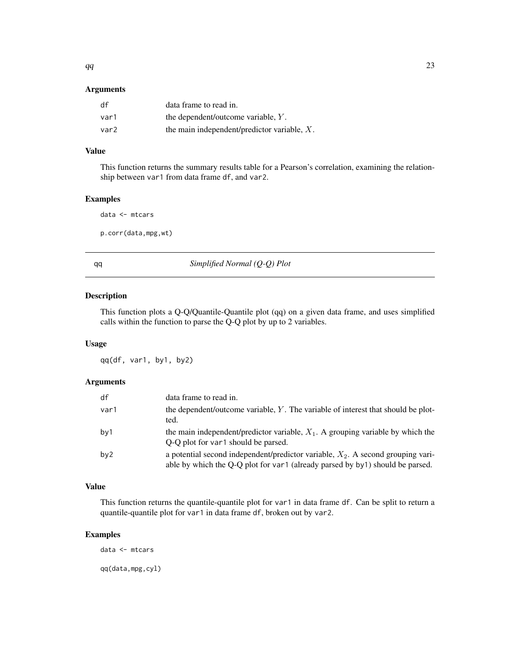## <span id="page-22-0"></span>Arguments

| df   | data frame to read in.                         |
|------|------------------------------------------------|
| var1 | the dependent/outcome variable, Y.             |
| var2 | the main independent/predictor variable, $X$ . |

## Value

This function returns the summary results table for a Pearson's correlation, examining the relationship between var1 from data frame df, and var2.

#### Examples

data <- mtcars

p.corr(data,mpg,wt)

qq *Simplified Normal (Q-Q) Plot*

#### Description

This function plots a Q-Q/Quantile-Quantile plot (qq) on a given data frame, and uses simplified calls within the function to parse the Q-Q plot by up to 2 variables.

#### Usage

qq(df, var1, by1, by2)

## Arguments

| df              | data frame to read in.                                                                                                                                              |
|-----------------|---------------------------------------------------------------------------------------------------------------------------------------------------------------------|
| var1            | the dependent/outcome variable, $Y$ . The variable of interest that should be plot-<br>ted.                                                                         |
| by1             | the main independent/predictor variable, $X_1$ . A grouping variable by which the<br>O-O plot for var1 should be parsed.                                            |
| by <sub>2</sub> | a potential second independent/predictor variable, $X_2$ . A second grouping vari-<br>able by which the Q-Q plot for var1 (already parsed by by1) should be parsed. |

#### Value

This function returns the quantile-quantile plot for var1 in data frame df. Can be split to return a quantile-quantile plot for var1 in data frame df, broken out by var2.

## Examples

data <- mtcars

qq(data,mpg,cyl)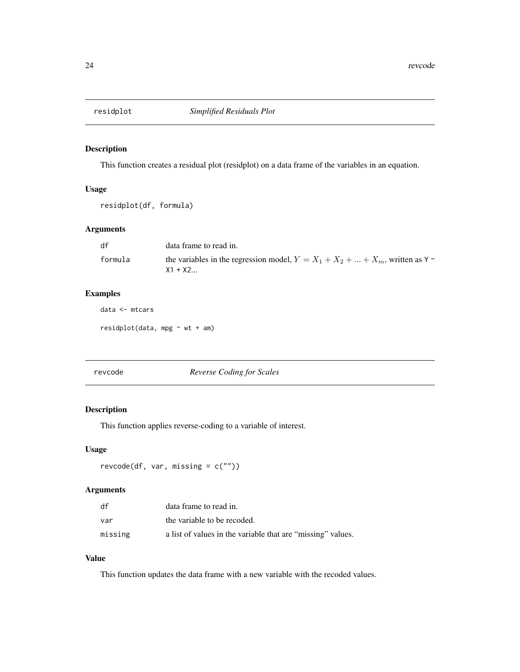<span id="page-23-0"></span>

This function creates a residual plot (residplot) on a data frame of the variables in an equation.

#### Usage

residplot(df, formula)

## Arguments

| df      | data frame to read in.                                                                      |
|---------|---------------------------------------------------------------------------------------------|
| formula | the variables in the regression model, $Y = X_1 + X_2 +  + X_m$ , written as Y<br>$X1 + X2$ |

## Examples

data <- mtcars

residplot(data, mpg  $\sim$  wt + am)

| revcode |  |
|---------|--|
|---------|--|

#### revcode *Reverse Coding for Scales*

#### Description

This function applies reverse-coding to a variable of interest.

#### Usage

```
revcode(df, var, missing = c(""))
```
## Arguments

| df      | data frame to read in.                                      |
|---------|-------------------------------------------------------------|
| var     | the variable to be recoded.                                 |
| missing | a list of values in the variable that are "missing" values. |

## Value

This function updates the data frame with a new variable with the recoded values.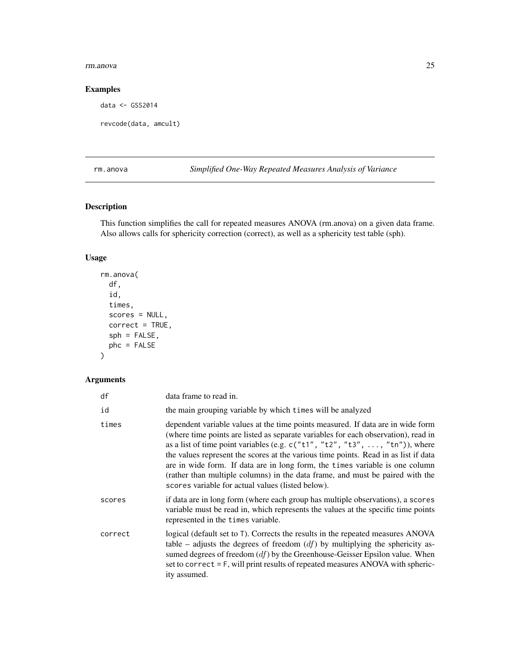#### <span id="page-24-0"></span>rm.anova 25

## Examples

data <- GSS2014

```
revcode(data, amcult)
```
rm.anova *Simplified One-Way Repeated Measures Analysis of Variance*

## Description

This function simplifies the call for repeated measures ANOVA (rm.anova) on a given data frame. Also allows calls for sphericity correction (correct), as well as a sphericity test table (sph).

## Usage

```
rm.anova(
  df,
  id,
  times,
  scores = NULL,
 correct = TRUE,
  sph = FALSE,
 phc = FALSE
\mathcal{L}
```
## Arguments

| df      | data frame to read in.                                                                                                                                                                                                                                                                                                                                                                                                                                                                                                                                               |
|---------|----------------------------------------------------------------------------------------------------------------------------------------------------------------------------------------------------------------------------------------------------------------------------------------------------------------------------------------------------------------------------------------------------------------------------------------------------------------------------------------------------------------------------------------------------------------------|
| id      | the main grouping variable by which times will be analyzed                                                                                                                                                                                                                                                                                                                                                                                                                                                                                                           |
| times   | dependent variable values at the time points measured. If data are in wide form<br>(where time points are listed as separate variables for each observation), read in<br>as a list of time point variables (e.g. $c("t1", "t2", "t3", , "tn"))$ , where<br>the values represent the scores at the various time points. Read in as list if data<br>are in wide form. If data are in long form, the times variable is one column<br>(rather than multiple columns) in the data frame, and must be paired with the<br>scores variable for actual values (listed below). |
| scores  | if data are in long form (where each group has multiple observations), a scores<br>variable must be read in, which represents the values at the specific time points<br>represented in the times variable.                                                                                                                                                                                                                                                                                                                                                           |
| correct | logical (default set to T). Corrects the results in the repeated measures ANOVA<br>table – adjusts the degrees of freedom $(df)$ by multiplying the sphericity as-<br>sumed degrees of freedom $(df)$ by the Greenhouse-Geisser Epsilon value. When<br>set to correct $=$ F, will print results of repeated measures ANOVA with spheric-<br>ity assumed.                                                                                                                                                                                                             |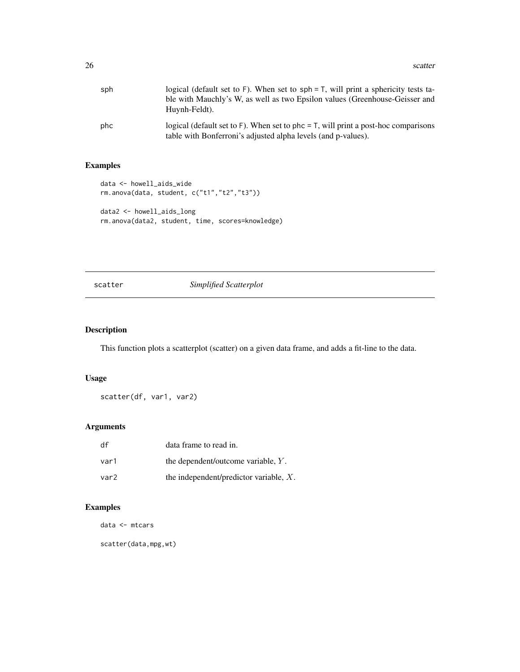<span id="page-25-0"></span>

| sph | logical (default set to F). When set to $sph = T$ , will print a sphericity tests ta-<br>ble with Mauchly's W, as well as two Epsilon values (Greenhouse-Geisser and<br>Huynh-Feldt). |
|-----|---------------------------------------------------------------------------------------------------------------------------------------------------------------------------------------|
| phc | logical (default set to $F$ ). When set to phc = $T$ , will print a post-hoc comparisons<br>table with Bonferroni's adjusted alpha levels (and p-values).                             |

## Examples

```
data <- howell_aids_wide
rm.anova(data, student, c("t1","t2","t3"))
data2 <- howell_aids_long
rm.anova(data2, student, time, scores=knowledge)
```
## scatter *Simplified Scatterplot*

## Description

This function plots a scatterplot (scatter) on a given data frame, and adds a fit-line to the data.

## Usage

```
scatter(df, var1, var2)
```
## Arguments

| df   | data frame to read in.                    |
|------|-------------------------------------------|
| var1 | the dependent/outcome variable, $Y$ .     |
| var2 | the independent/predictor variable, $X$ . |

## Examples

data <- mtcars

scatter(data,mpg,wt)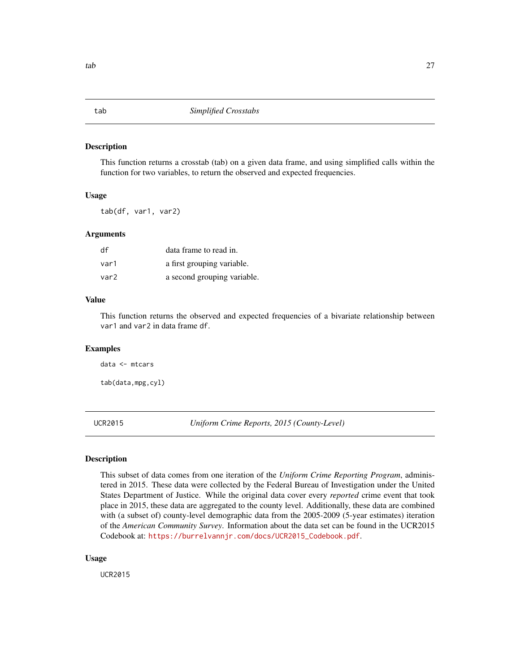This function returns a crosstab (tab) on a given data frame, and using simplified calls within the function for two variables, to return the observed and expected frequencies.

#### Usage

tab(df, var1, var2)

#### Arguments

| df   | data frame to read in.      |
|------|-----------------------------|
| var1 | a first grouping variable.  |
| var2 | a second grouping variable. |

#### Value

This function returns the observed and expected frequencies of a bivariate relationship between var1 and var2 in data frame df.

#### Examples

data <- mtcars

tab(data,mpg,cyl)

UCR2015 *Uniform Crime Reports, 2015 (County-Level)*

#### Description

This subset of data comes from one iteration of the *Uniform Crime Reporting Program*, administered in 2015. These data were collected by the Federal Bureau of Investigation under the United States Department of Justice. While the original data cover every *reported* crime event that took place in 2015, these data are aggregated to the county level. Additionally, these data are combined with (a subset of) county-level demographic data from the 2005-2009 (5-year estimates) iteration of the *American Community Survey*. Information about the data set can be found in the UCR2015 Codebook at: [https://burrelvannjr.com/docs/UCR2015\\_Codebook.pdf](https://burrelvannjr.com/docs/UCR2015_Codebook.pdf).

#### Usage

UCR2015

<span id="page-26-0"></span>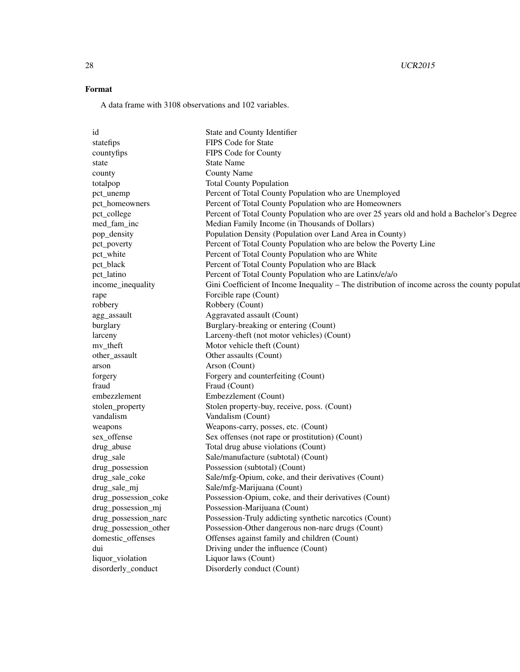## 28 UCR2015

## Format

A data frame with 3108 observations and 102 variables.

| id                    | State and County Identifier                                                                  |
|-----------------------|----------------------------------------------------------------------------------------------|
| statefips             | FIPS Code for State                                                                          |
| countyfips            | FIPS Code for County                                                                         |
| state                 | State Name                                                                                   |
| county                | <b>County Name</b>                                                                           |
| totalpop              | <b>Total County Population</b>                                                               |
| pct_unemp             | Percent of Total County Population who are Unemployed                                        |
| pct_homeowners        | Percent of Total County Population who are Homeowners                                        |
| pct_college           | Percent of Total County Population who are over 25 years old and hold a Bachelor's Degree    |
| med_fam_inc           | Median Family Income (in Thousands of Dollars)                                               |
| pop_density           | Population Density (Population over Land Area in County)                                     |
| pct_poverty           | Percent of Total County Population who are below the Poverty Line                            |
| pct_white             | Percent of Total County Population who are White                                             |
| pct_black             | Percent of Total County Population who are Black                                             |
| pct_latino            | Percent of Total County Population who are Latinx/e/a/o                                      |
| income_inequality     | Gini Coefficient of Income Inequality – The distribution of income across the county populat |
| rape                  | Forcible rape (Count)                                                                        |
| robbery               | Robbery (Count)                                                                              |
| agg_assault           | Aggravated assault (Count)                                                                   |
| burglary              | Burglary-breaking or entering (Count)                                                        |
| larceny               | Larceny-theft (not motor vehicles) (Count)                                                   |
| mv_theft              | Motor vehicle theft (Count)                                                                  |
| other_assault         | Other assaults (Count)                                                                       |
|                       | Arson (Count)                                                                                |
| arson                 | Forgery and counterfeiting (Count)                                                           |
| forgery               |                                                                                              |
| fraud                 | Fraud (Count)                                                                                |
| embezzlement          | Embezzlement (Count)                                                                         |
| stolen_property       | Stolen property-buy, receive, poss. (Count)                                                  |
| vandalism             | Vandalism (Count)                                                                            |
| weapons               | Weapons-carry, posses, etc. (Count)                                                          |
| sex_offense           | Sex offenses (not rape or prostitution) (Count)                                              |
| drug_abuse            | Total drug abuse violations (Count)                                                          |
| drug_sale             | Sale/manufacture (subtotal) (Count)                                                          |
| drug_possession       | Possession (subtotal) (Count)                                                                |
| drug_sale_coke        | Sale/mfg-Opium, coke, and their derivatives (Count)                                          |
| drug_sale_mj          | Sale/mfg-Marijuana (Count)                                                                   |
| drug_possession_coke  | Possession-Opium, coke, and their derivatives (Count)                                        |
| drug_possession_mj    | Possession-Marijuana (Count)                                                                 |
| drug_possession_narc  | Possession-Truly addicting synthetic narcotics (Count)                                       |
| drug_possession_other | Possession-Other dangerous non-narc drugs (Count)                                            |
| domestic_offenses     | Offenses against family and children (Count)                                                 |
| dui                   | Driving under the influence (Count)                                                          |
| liquor_violation      | Liquor laws (Count)                                                                          |
| disorderly_conduct    | Disorderly conduct (Count)                                                                   |
|                       |                                                                                              |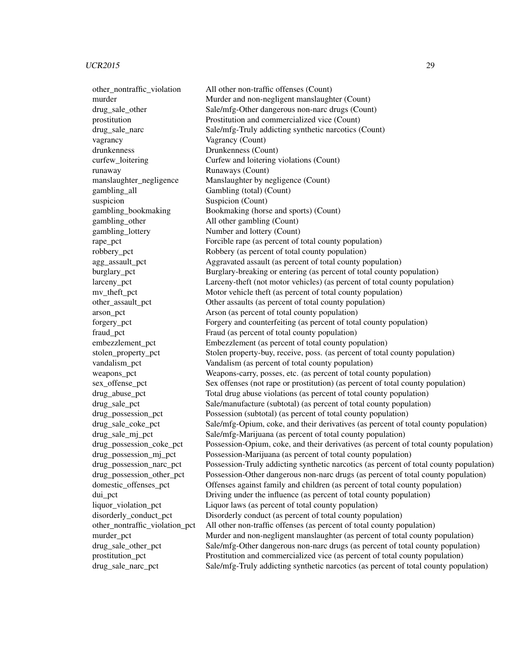vagrancy Vagrancy (Count) drunkenness Drunkenness (Count) runaway Runaways (Count) gambling all Gambling (total) (Count) suspicion Suspicion (Count) gambling\_other All other gambling (Count) gambling\_lottery Number and lottery (Count)

other\_nontraffic\_violation All other non-traffic offenses (Count) murder **Murder and non-negligent manslaughter (Count)** drug sale other Sale/mfg-Other dangerous non-narc drugs (Count) prostitution Prostitution and commercialized vice (Count) drug\_sale\_narc Sale/mfg-Truly addicting synthetic narcotics (Count) curfew loitering Curfew and loitering violations (Count) manslaughter negligence Manslaughter by negligence (Count) gambling\_bookmaking Bookmaking (horse and sports) (Count) rape\_pct Forcible rape (as percent of total county population) robbery\_pct Robbery (as percent of total county population) agg\_assault\_pct Aggravated assault (as percent of total county population) burglary pct Burglary-breaking or entering (as percent of total county population) larceny\_pct Larceny-theft (not motor vehicles) (as percent of total county population) mv\_theft\_pct Motor vehicle theft (as percent of total county population) other assault pct Other assaults (as percent of total county population) arson\_pct Arson (as percent of total county population) forgery\_pct Forgery and counterfeiting (as percent of total county population) fraud pct Fraud (as percent of total county population) embezzlement pct Embezzlement (as percent of total county population) stolen\_property\_pct Stolen property-buy, receive, poss. (as percent of total county population) vandalism pct Vandalism (as percent of total county population) weapons\_pct Weapons-carry, posses, etc. (as percent of total county population) sex\_offense\_pct Sex offenses (not rape or prostitution) (as percent of total county population) drug\_abuse\_pct Total drug abuse violations (as percent of total county population) drug\_sale\_pct Sale/manufacture (subtotal) (as percent of total county population) drug\_possession\_pct Possession (subtotal) (as percent of total county population) drug\_sale\_coke\_pct Sale/mfg-Opium, coke, and their derivatives (as percent of total county population) drug\_sale\_mj\_pct Sale/mfg-Marijuana (as percent of total county population) drug\_possession\_coke\_pct Possession-Opium, coke, and their derivatives (as percent of total county population) drug possession mi pct Possession-Marijuana (as percent of total county population) drug possession narc pct Possession-Truly addicting synthetic narcotics (as percent of total county population) drug possession other pct Possession-Other dangerous non-narc drugs (as percent of total county population) domestic\_offenses\_pct Offenses against family and children (as percent of total county population) dui pct Driving under the influence (as percent of total county population) liquor violation pct Liquor laws (as percent of total county population) disorderly conduct pct Disorderly conduct (as percent of total county population) other\_nontraffic\_violation\_pct All other non-traffic offenses (as percent of total county population) murder pct Murder and non-negligent manslaughter (as percent of total county population) drug\_sale\_other\_pct Sale/mfg-Other dangerous non-narc drugs (as percent of total county population) prostitution\_pct Prostitution and commercialized vice (as percent of total county population) drug\_sale\_narc\_pct Sale/mfg-Truly addicting synthetic narcotics (as percent of total county population)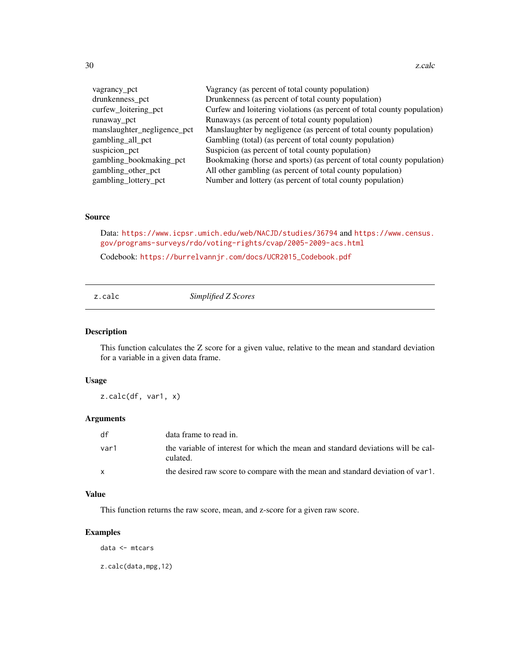<span id="page-29-0"></span>30 z.calc

| vagrancy pct                | Vagrancy (as percent of total county population)                        |
|-----------------------------|-------------------------------------------------------------------------|
| drunkenness_pct             | Drunkenness (as percent of total county population)                     |
| curfew_loitering_pct        | Curfew and loitering violations (as percent of total county population) |
| runaway pct                 | Runaways (as percent of total county population)                        |
| manslaughter_negligence_pct | Manslaughter by negligence (as percent of total county population)      |
| gambling_all_pct            | Gambling (total) (as percent of total county population)                |
| suspicion_pct               | Suspicion (as percent of total county population)                       |
| gambling_bookmaking_pct     | Bookmaking (horse and sports) (as percent of total county population)   |
| gambling_other_pct          | All other gambling (as percent of total county population)              |
| gambling_lottery_pct        | Number and lottery (as percent of total county population)              |

#### Source

Data: <https://www.icpsr.umich.edu/web/NACJD/studies/36794> and [https://www.census.](https://www.census.gov/programs-surveys/rdo/voting-rights/cvap/2005-2009-acs.html) [gov/programs-surveys/rdo/voting-rights/cvap/2005-2009-acs.html](https://www.census.gov/programs-surveys/rdo/voting-rights/cvap/2005-2009-acs.html)

Codebook: [https://burrelvannjr.com/docs/UCR2015\\_Codebook.pdf](https://burrelvannjr.com/docs/UCR2015_Codebook.pdf)

## z.calc *Simplified Z Scores*

## Description

This function calculates the Z score for a given value, relative to the mean and standard deviation for a variable in a given data frame.

#### Usage

z.calc(df, var1, x)

#### Arguments

| df   | data frame to read in.                                                                       |
|------|----------------------------------------------------------------------------------------------|
| var1 | the variable of interest for which the mean and standard deviations will be cal-<br>culated. |
| X    | the desired raw score to compare with the mean and standard deviation of var1.               |

## Value

This function returns the raw score, mean, and z-score for a given raw score.

## Examples

data <- mtcars

z.calc(data,mpg,12)